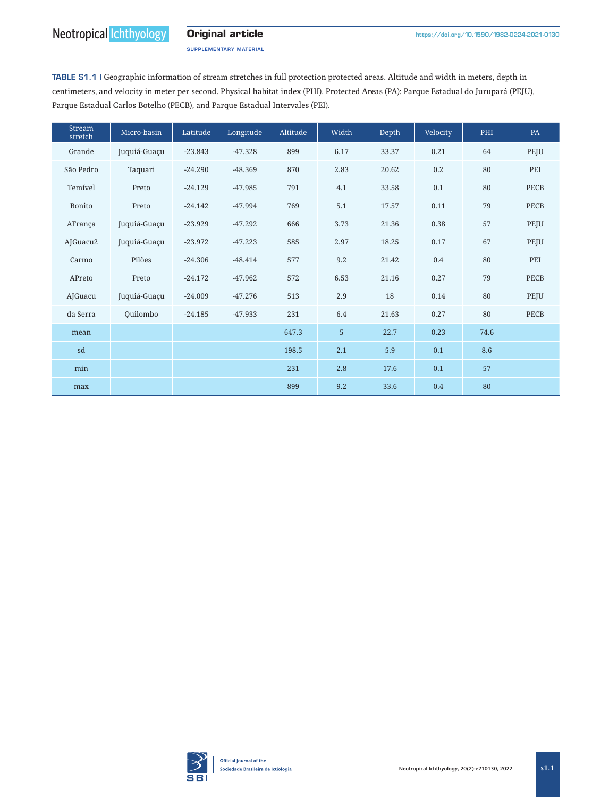SUPPLEMENTARY MATERIAL

TABLE S1.1 | Geographic information of stream stretches in full protection protected areas. Altitude and width in meters, depth in centimeters, and velocity in meter per second. Physical habitat index (PHI). Protected Areas (PA): Parque Estadual do Jurupará (PEJU), Parque Estadual Carlos Botelho (PECB), and Parque Estadual Intervales (PEI).

| Stream<br>stretch | Micro-basin  | Latitude  | Longitude | Altitude | Width | Depth | Velocity | PHI  | PA          |
|-------------------|--------------|-----------|-----------|----------|-------|-------|----------|------|-------------|
| Grande            | Juquiá-Guaçu | $-23.843$ | $-47.328$ | 899      | 6.17  | 33.37 | 0.21     | 64   | PEJU        |
| São Pedro         | Taquari      | $-24.290$ | $-48.369$ | 870      | 2.83  | 20.62 | 0.2      | 80   | PEI         |
| Temível           | Preto        | $-24.129$ | $-47.985$ | 791      | 4.1   | 33.58 | 0.1      | 80   | PECB        |
| Bonito            | Preto        | $-24.142$ | $-47.994$ | 769      | 5.1   | 17.57 | 0.11     | 79   | <b>PECB</b> |
| AFrança           | Juquiá-Guaçu | $-23.929$ | $-47.292$ | 666      | 3.73  | 21.36 | 0.38     | 57   | PEJU        |
| AJGuacu2          | Juquiá-Guaçu | $-23.972$ | $-47.223$ | 585      | 2.97  | 18.25 | 0.17     | 67   | PEJU        |
| Carmo             | Pilões       | $-24.306$ | $-48.414$ | 577      | 9.2   | 21.42 | $0.4\,$  | 80   | PEI         |
| APreto            | Preto        | $-24.172$ | $-47.962$ | 572      | 6.53  | 21.16 | 0.27     | 79   | PECB        |
| AJGuacu           | Juquiá-Guaçu | $-24.009$ | $-47.276$ | 513      | 2.9   | 18    | 0.14     | 80   | PEJU        |
| da Serra          | Quilombo     | $-24.185$ | $-47.933$ | 231      | 6.4   | 21.63 | 0.27     | 80   | PECB        |
| mean              |              |           |           | 647.3    | 5     | 22.7  | 0.23     | 74.6 |             |
| sd                |              |           |           | 198.5    | 2.1   | 5.9   | 0.1      | 8.6  |             |
| min               |              |           |           | 231      | 2.8   | 17.6  | 0.1      | 57   |             |
| max               |              |           |           | 899      | 9.2   | 33.6  | 0.4      | 80   |             |

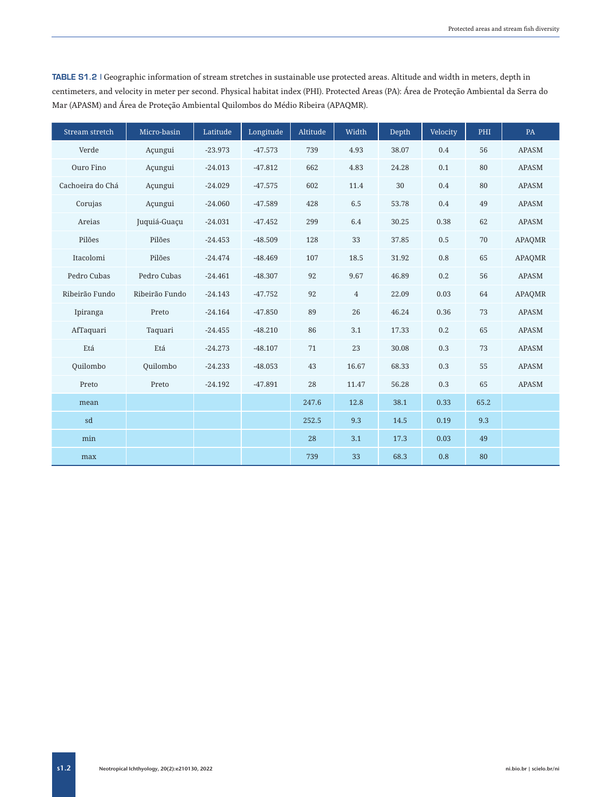| Stream stretch   | Micro-basin    | Latitude  | Longitude | Altitude | Width          | Depth | Velocity | PHI  | PA            |
|------------------|----------------|-----------|-----------|----------|----------------|-------|----------|------|---------------|
| Verde            | Acungui        | $-23.973$ | $-47.573$ | 739      | 4.93           | 38.07 | 0.4      | 56   | APASM         |
| Ouro Fino        | Açungui        | $-24.013$ | $-47.812$ | 662      | 4.83           | 24.28 | 0.1      | 80   | <b>APASM</b>  |
| Cachoeira do Chá | Acungui        | $-24.029$ | $-47.575$ | 602      | 11.4           | 30    | 0.4      | 80   | <b>APASM</b>  |
| Corujas          | Açungui        | $-24.060$ | $-47.589$ | 428      | 6.5            | 53.78 | 0.4      | 49   | <b>APASM</b>  |
| Areias           | Juguiá-Guacu   | $-24.031$ | $-47.452$ | 299      | 6.4            | 30.25 | 0.38     | 62   | APASM         |
| Pilões           | Pilões         | $-24.453$ | $-48.509$ | 128      | 33             | 37.85 | 0.5      | 70   | <b>APAQMR</b> |
| Itacolomi        | Pilões         | $-24.474$ | $-48.469$ | 107      | 18.5           | 31.92 | 0.8      | 65   | <b>APAQMR</b> |
| Pedro Cubas      | Pedro Cubas    | $-24.461$ | $-48.307$ | 92       | 9.67           | 46.89 | 0.2      | 56   | APASM         |
| Ribeirão Fundo   | Ribeirão Fundo | $-24.143$ | $-47.752$ | 92       | $\overline{4}$ | 22.09 | 0.03     | 64   | <b>APAQMR</b> |
| Ipiranga         | Preto          | $-24.164$ | $-47.850$ | 89       | 26             | 46.24 | 0.36     | 73   | <b>APASM</b>  |
| AfTaquari        | Taquari        | $-24.455$ | $-48.210$ | 86       | 3.1            | 17.33 | 0.2      | 65   | <b>APASM</b>  |
| Etá              | Etá            | $-24.273$ | $-48.107$ | 71       | 23             | 30.08 | 0.3      | 73   | <b>APASM</b>  |
| Ouilombo         | Ouilombo       | $-24.233$ | $-48.053$ | 43       | 16.67          | 68.33 | 0.3      | 55   | <b>APASM</b>  |
| Preto            | Preto          | $-24.192$ | $-47.891$ | 28       | 11.47          | 56.28 | 0.3      | 65   | <b>APASM</b>  |
| mean             |                |           |           | 247.6    | 12.8           | 38.1  | 0.33     | 65.2 |               |
| sd               |                |           |           | 252.5    | 9.3            | 14.5  | 0.19     | 9.3  |               |
| min              |                |           |           | 28       | 3.1            | 17.3  | 0.03     | 49   |               |
| max              |                |           |           | 739      | 33             | 68.3  | 0.8      | 80   |               |

TABLE S1.2 | Geographic information of stream stretches in sustainable use protected areas. Altitude and width in meters, depth in centimeters, and velocity in meter per second. Physical habitat index (PHI). Protected Areas (PA): Área de Proteção Ambiental da Serra do Mar (APASM) and Área de Proteção Ambiental Quilombos do Médio Ribeira (APAQMR).